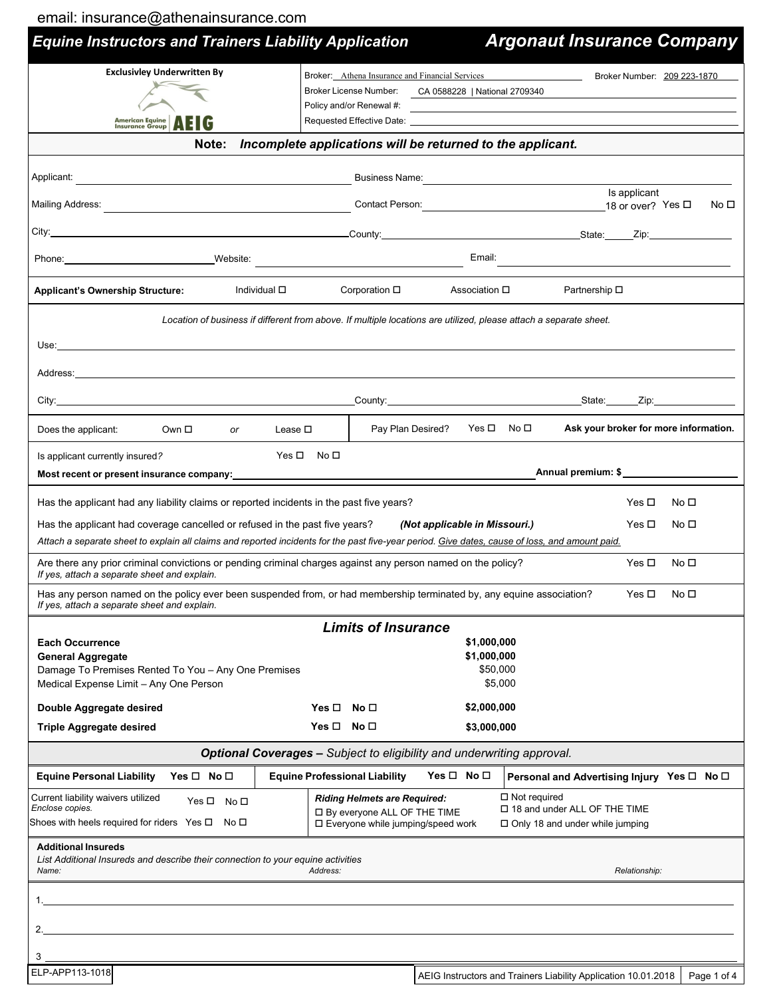|  | email: insurance@athenainsurance.com |  |
|--|--------------------------------------|--|
|  |                                      |  |

| <b>Equine Instructors and Trainers Liability Application</b>                                                                                                                                                                   |                                                                                                                   |                                                                                  | <b>Argonaut Insurance Company</b>                                             |
|--------------------------------------------------------------------------------------------------------------------------------------------------------------------------------------------------------------------------------|-------------------------------------------------------------------------------------------------------------------|----------------------------------------------------------------------------------|-------------------------------------------------------------------------------|
| <b>Exclusivley Underwritten By</b><br>American Equine <b>AFIG</b>                                                                                                                                                              | Broker License Number:<br>Policy and/or Renewal #:                                                                | Broker: Athena Insurance and Financial Services<br>CA 0588228   National 2709340 | Broker Number: 209 223-1870                                                   |
| Note:                                                                                                                                                                                                                          | Incomplete applications will be returned to the applicant.                                                        |                                                                                  |                                                                               |
|                                                                                                                                                                                                                                |                                                                                                                   |                                                                                  | Business Name: <u>Contract Communications</u>                                 |
|                                                                                                                                                                                                                                |                                                                                                                   |                                                                                  | Is applicant<br>Contact Person: 18 or over? Yes □<br>No ⊡                     |
| County: State: Zip: State: Zip:                                                                                                                                                                                                |                                                                                                                   |                                                                                  |                                                                               |
| Phone: Website:                                                                                                                                                                                                                |                                                                                                                   | Email:                                                                           |                                                                               |
| Individual <b>□</b><br><b>Applicant's Ownership Structure:</b>                                                                                                                                                                 | Corporation $\square$                                                                                             | Association <b>□</b>                                                             | Partnership □                                                                 |
|                                                                                                                                                                                                                                | Location of business if different from above. If multiple locations are utilized, please attach a separate sheet. |                                                                                  |                                                                               |
|                                                                                                                                                                                                                                |                                                                                                                   |                                                                                  |                                                                               |
| Address: Note and the contract of the contract of the contract of the contract of the contract of the contract of the contract of the contract of the contract of the contract of the contract of the contract of the contract |                                                                                                                   |                                                                                  |                                                                               |
| City:                                                                                                                                                                                                                          |                                                                                                                   |                                                                                  |                                                                               |
| Does the applicant:<br>Own □<br>or                                                                                                                                                                                             | Pay Plan Desired?<br>Lease $\square$                                                                              | Yes ロ No ロ                                                                       | Ask your broker for more information.                                         |
| Is applicant currently insured?                                                                                                                                                                                                | $Yes \Box$ No $\Box$                                                                                              |                                                                                  |                                                                               |
| Most recent or present insurance company:<br>Most recent or present insurance company:                                                                                                                                         |                                                                                                                   |                                                                                  | Annual premium: \$                                                            |
| Has the applicant had any liability claims or reported incidents in the past five years?                                                                                                                                       |                                                                                                                   |                                                                                  | Yes □<br>No □                                                                 |
| Has the applicant had coverage cancelled or refused in the past five years?<br>Attach a separate sheet to explain all claims and reported incidents for the past five-year period. Give dates, cause of loss, and amount paid. |                                                                                                                   | (Not applicable in Missouri.)                                                    | Yes $\Box$<br>No □                                                            |
| Are there any prior criminal convictions or pending criminal charges against any person named on the policy?                                                                                                                   |                                                                                                                   |                                                                                  | Yes $\Box$<br>No $\square$                                                    |
| If yes, attach a separate sheet and explain.<br>Has any person named on the policy ever been suspended from, or had membership terminated by, any equine association?<br>If yes, attach a separate sheet and explain.          |                                                                                                                   |                                                                                  | No ⊡<br>Yes ⊡                                                                 |
|                                                                                                                                                                                                                                | <b>Limits of Insurance</b>                                                                                        |                                                                                  |                                                                               |
| <b>Each Occurrence</b><br><b>General Aggregate</b><br>Damage To Premises Rented To You - Any One Premises<br>Medical Expense Limit - Any One Person                                                                            |                                                                                                                   | \$1,000,000<br>\$1,000,000<br>\$50,000<br>\$5,000                                |                                                                               |
| Double Aggregate desired                                                                                                                                                                                                       | $Yes \Box No \Box$                                                                                                | \$2,000,000                                                                      |                                                                               |
| <b>Triple Aggregate desired</b>                                                                                                                                                                                                | $Yes \Box No \Box$                                                                                                | \$3,000,000                                                                      |                                                                               |
|                                                                                                                                                                                                                                | <b>Optional Coverages - Subject to eligibility and underwriting approval.</b>                                     |                                                                                  |                                                                               |
| <b>Equine Personal Liability</b><br>Yes $\Box$ No $\Box$                                                                                                                                                                       | <b>Equine Professional Liability</b>                                                                              | Yes $\Box$ No $\Box$                                                             | Personal and Advertising Injury Yes $\Box$ No $\Box$                          |
| Current liability waivers utilized<br>Yes □ No □<br>Enclose copies.<br>Shoes with heels required for riders Yes $\square$<br>No □                                                                                              | <b>Riding Helmets are Required:</b><br>□ By everyone ALL OF THE TIME<br>□ Everyone while jumping/speed work       | $\Box$ Not required                                                              | □ 18 and under ALL OF THE TIME<br>$\Box$ Only 18 and under while jumping      |
| <b>Additional Insureds</b><br>List Additional Insureds and describe their connection to your equine activities<br>Name:                                                                                                        | Address:                                                                                                          |                                                                                  | Relationship:                                                                 |
|                                                                                                                                                                                                                                |                                                                                                                   |                                                                                  |                                                                               |
|                                                                                                                                                                                                                                |                                                                                                                   |                                                                                  |                                                                               |
| 3                                                                                                                                                                                                                              |                                                                                                                   |                                                                                  |                                                                               |
| ELP-APP113-1018                                                                                                                                                                                                                |                                                                                                                   |                                                                                  | AEIG Instructors and Trainers Liability Application 10.01.2018<br>Page 1 of 4 |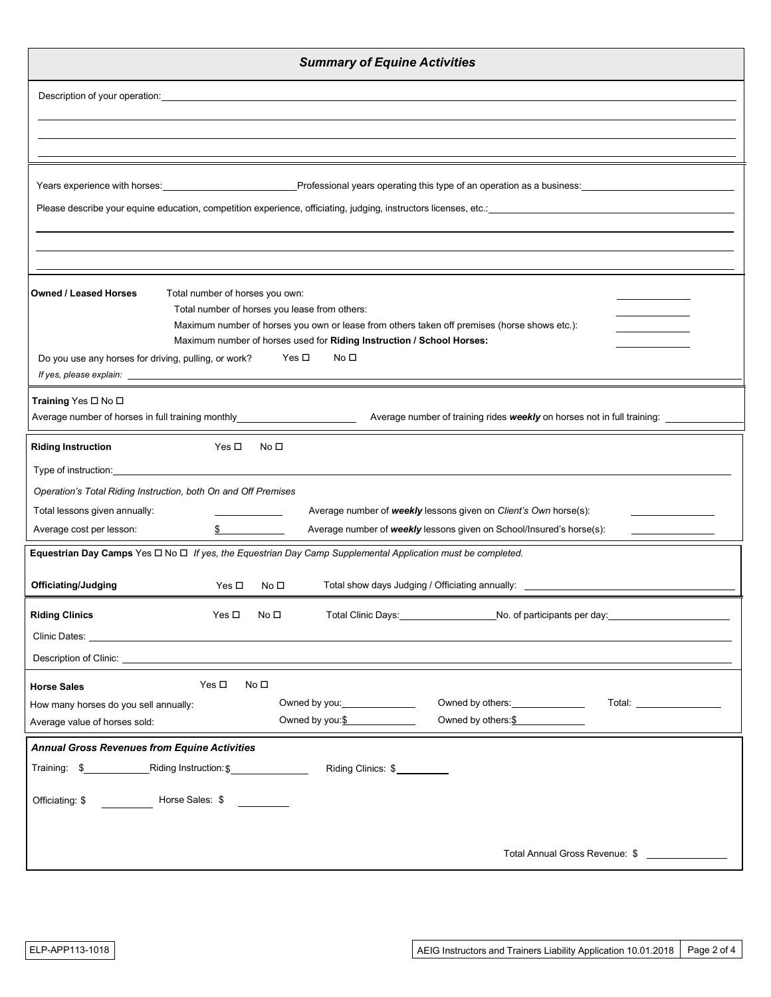| <b>Summary of Equine Activities</b>                                                                                                                                                                                                  |
|--------------------------------------------------------------------------------------------------------------------------------------------------------------------------------------------------------------------------------------|
| Description of your operation: example of your operation:                                                                                                                                                                            |
|                                                                                                                                                                                                                                      |
|                                                                                                                                                                                                                                      |
|                                                                                                                                                                                                                                      |
| Years experience with horses: <u>entitled and the second of Professional years operating this type of an operation as a business: entitled by the second of the second of the second of the second of the second of the second o</u> |
|                                                                                                                                                                                                                                      |
|                                                                                                                                                                                                                                      |
|                                                                                                                                                                                                                                      |
| <b>Owned / Leased Horses</b><br>Total number of horses you own:                                                                                                                                                                      |
| Total number of horses you lease from others:<br>Maximum number of horses you own or lease from others taken off premises (horse shows etc.):                                                                                        |
| Maximum number of horses used for Riding Instruction / School Horses:                                                                                                                                                                |
| No <sub>1</sub><br>Yes □<br>Do you use any horses for driving, pulling, or work?                                                                                                                                                     |
| Training Yes □ No □                                                                                                                                                                                                                  |
| Average number of horses in full training monthly_________________________<br>Average number of training rides weekly on horses not in full training:                                                                                |
| <b>Riding Instruction</b><br>Yes □<br>No □                                                                                                                                                                                           |
| Type of instruction: <u>_________________</u>                                                                                                                                                                                        |
| Operation's Total Riding Instruction, both On and Off Premises                                                                                                                                                                       |
| Total lessons given annually:<br>Average number of weekly lessons given on Client's Own horse(s):<br>Average number of weekly lessons given on School/Insured's horse(s):<br>Average cost per lesson:                                |
| Equestrian Day Camps Yes $\Box$ No $\Box$ If yes, the Equestrian Day Camp Supplemental Application must be completed.                                                                                                                |
|                                                                                                                                                                                                                                      |
| Officiating/Judging<br>Total show days Judging / Officiating annually: _____<br>Yes $\Box$<br>No <sub>1</sub>                                                                                                                        |
| <b>Riding Clinics</b><br>Total Clinic Days: No. of participants per day: No. of participants per day:<br>Yes $\square$<br>No口                                                                                                        |
| Clinic Dates: <u>____________________________</u>                                                                                                                                                                                    |
| Description of Clinic: <b>Example 20</b> No. 2014 19:30 No. 2014 19:30 No. 2014 19:30 No. 2014 19:30 No. 2014 19:30 No. 2014 19:30 No. 2014 19:30 No. 2014 19:30 No. 2014 19:30 No. 2014 19:30 No. 2014 19:30 No. 2014 19:30 No. 20  |
| Yes $\square$<br>No口<br><b>Horse Sales</b><br>Owned by others: ________________<br>Total: __________________                                                                                                                         |
| How many horses do you sell annually:<br>Owned by others: $$$<br>Owned by you: $\frac{\$$<br>Average value of horses sold:                                                                                                           |
| <b>Annual Gross Revenues from Equine Activities</b>                                                                                                                                                                                  |
| Riding Instruction: \$<br>Training: \$<br>Riding Clinics: \$                                                                                                                                                                         |
| Horse Sales: \$<br>Officiating: \$                                                                                                                                                                                                   |
|                                                                                                                                                                                                                                      |
| Total Annual Gross Revenue: \$                                                                                                                                                                                                       |
|                                                                                                                                                                                                                                      |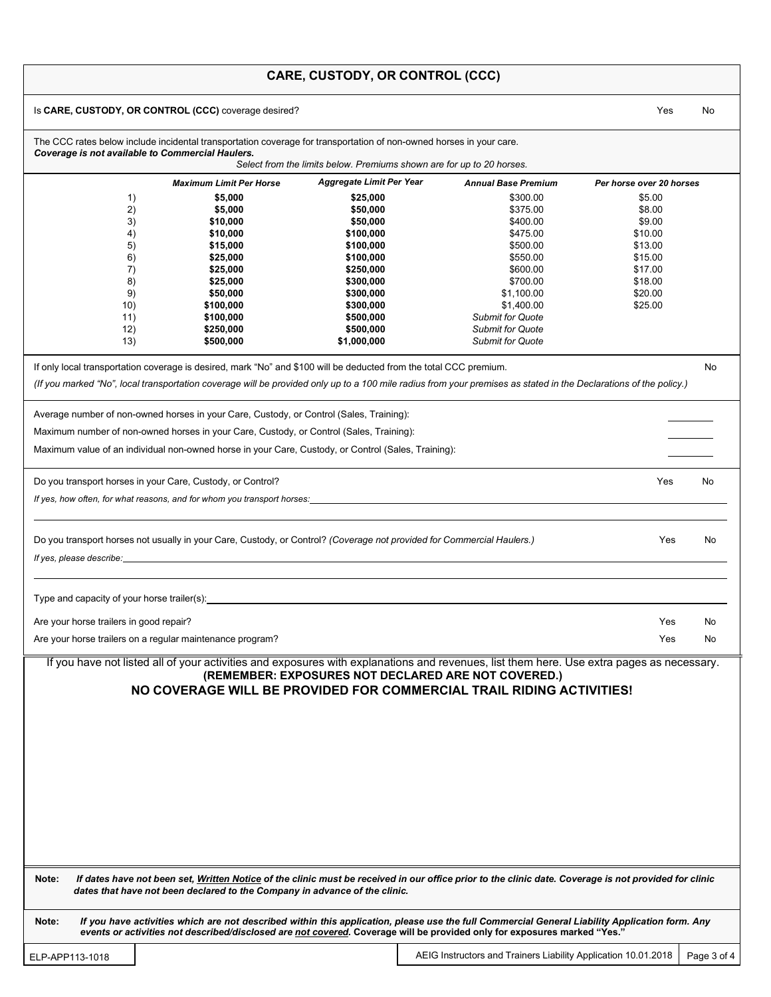|  |  | <b>CARE, CUSTODY, OR CONTROL (CCC)</b> |  |
|--|--|----------------------------------------|--|
|--|--|----------------------------------------|--|

|                                                                    |                                                                                         |                                                                                                                                                                                                                                                                            |                            | Yes                      |    |
|--------------------------------------------------------------------|-----------------------------------------------------------------------------------------|----------------------------------------------------------------------------------------------------------------------------------------------------------------------------------------------------------------------------------------------------------------------------|----------------------------|--------------------------|----|
| Coverage is not available to Commercial Haulers.                   |                                                                                         | The CCC rates below include incidental transportation coverage for transportation of non-owned horses in your care.                                                                                                                                                        |                            |                          |    |
|                                                                    |                                                                                         | Select from the limits below. Premiums shown are for up to 20 horses.                                                                                                                                                                                                      |                            |                          |    |
|                                                                    | <b>Maximum Limit Per Horse</b>                                                          | <b>Aggregate Limit Per Year</b>                                                                                                                                                                                                                                            | <b>Annual Base Premium</b> | Per horse over 20 horses |    |
| 1)                                                                 | \$5,000                                                                                 | \$25,000                                                                                                                                                                                                                                                                   | \$300.00                   | \$5.00                   |    |
| 2)                                                                 | \$5,000                                                                                 | \$50,000                                                                                                                                                                                                                                                                   | \$375.00                   | \$8.00                   |    |
| 3)                                                                 | \$10,000                                                                                | \$50,000                                                                                                                                                                                                                                                                   | \$400.00                   | \$9.00                   |    |
| 4)                                                                 | \$10,000                                                                                | \$100,000                                                                                                                                                                                                                                                                  | \$475.00                   | \$10.00                  |    |
| 5)                                                                 | \$15,000                                                                                | \$100,000                                                                                                                                                                                                                                                                  | \$500.00                   | \$13.00                  |    |
| 6)                                                                 | \$25,000                                                                                | \$100,000                                                                                                                                                                                                                                                                  | \$550.00                   | \$15.00                  |    |
| 7)                                                                 | \$25,000                                                                                | \$250,000                                                                                                                                                                                                                                                                  | \$600.00                   | \$17.00                  |    |
| 8)                                                                 | \$25,000                                                                                | \$300,000                                                                                                                                                                                                                                                                  | \$700.00                   | \$18.00                  |    |
| 9)                                                                 | \$50,000                                                                                | \$300,000                                                                                                                                                                                                                                                                  | \$1,100.00                 | \$20.00                  |    |
| 10)                                                                | \$100,000                                                                               | \$300,000                                                                                                                                                                                                                                                                  | \$1,400.00                 | \$25.00                  |    |
| 11)                                                                | \$100,000                                                                               | \$500,000                                                                                                                                                                                                                                                                  | <b>Submit for Quote</b>    |                          |    |
| 12)                                                                | \$250,000                                                                               | \$500,000                                                                                                                                                                                                                                                                  | <b>Submit for Quote</b>    |                          |    |
| (13)                                                               | \$500,000                                                                               | \$1,000,000                                                                                                                                                                                                                                                                | <b>Submit for Quote</b>    |                          |    |
|                                                                    |                                                                                         | If only local transportation coverage is desired, mark "No" and \$100 will be deducted from the total CCC premium.                                                                                                                                                         |                            |                          | No |
|                                                                    |                                                                                         | (If you marked "No", local transportation coverage will be provided only up to a 100 mile radius from your premises as stated in the Declarations of the policy.)                                                                                                          |                            |                          |    |
|                                                                    |                                                                                         |                                                                                                                                                                                                                                                                            |                            |                          |    |
|                                                                    | Average number of non-owned horses in your Care, Custody, or Control (Sales, Training): |                                                                                                                                                                                                                                                                            |                            |                          |    |
|                                                                    |                                                                                         |                                                                                                                                                                                                                                                                            |                            |                          |    |
|                                                                    | Maximum number of non-owned horses in your Care, Custody, or Control (Sales, Training): |                                                                                                                                                                                                                                                                            |                            |                          |    |
|                                                                    |                                                                                         | Maximum value of an individual non-owned horse in your Care, Custody, or Control (Sales, Training):                                                                                                                                                                        |                            |                          |    |
|                                                                    |                                                                                         |                                                                                                                                                                                                                                                                            |                            |                          |    |
| Do you transport horses in your Care, Custody, or Control?         |                                                                                         |                                                                                                                                                                                                                                                                            |                            | Yes                      | No |
|                                                                    |                                                                                         | If yes, how often, for what reasons, and for whom you transport horses: example and the state of the state of the state of the state of the state of the state of the state of the state of the state of the state of the stat                                             |                            |                          |    |
|                                                                    |                                                                                         |                                                                                                                                                                                                                                                                            |                            |                          |    |
|                                                                    |                                                                                         |                                                                                                                                                                                                                                                                            |                            |                          |    |
|                                                                    |                                                                                         |                                                                                                                                                                                                                                                                            |                            |                          |    |
|                                                                    |                                                                                         | Do you transport horses not usually in your Care, Custody, or Control? (Coverage not provided for Commercial Haulers.)                                                                                                                                                     |                            | Yes                      | No |
|                                                                    |                                                                                         |                                                                                                                                                                                                                                                                            |                            |                          |    |
|                                                                    |                                                                                         |                                                                                                                                                                                                                                                                            |                            |                          |    |
|                                                                    |                                                                                         |                                                                                                                                                                                                                                                                            |                            |                          |    |
| Are your horse trailers in good repair?                            |                                                                                         |                                                                                                                                                                                                                                                                            |                            | Yes                      | No |
|                                                                    |                                                                                         |                                                                                                                                                                                                                                                                            |                            |                          |    |
|                                                                    |                                                                                         |                                                                                                                                                                                                                                                                            |                            | Yes                      | No |
|                                                                    |                                                                                         | If you have not listed all of your activities and exposures with explanations and revenues, list them here. Use extra pages as necessary.<br>(REMEMBER: EXPOSURES NOT DECLARED ARE NOT COVERED.)<br>NO COVERAGE WILL BE PROVIDED FOR COMMERCIAL TRAIL RIDING ACTIVITIES!   |                            |                          |    |
|                                                                    |                                                                                         |                                                                                                                                                                                                                                                                            |                            |                          |    |
| Are your horse trailers on a regular maintenance program?<br>Note: | dates that have not been declared to the Company in advance of the clinic.              | If dates have not been set, Written Notice of the clinic must be received in our office prior to the clinic date. Coverage is not provided for clinic                                                                                                                      |                            |                          |    |
| Note:                                                              |                                                                                         | If you have activities which are not described within this application, please use the full Commercial General Liability Application form. Any<br>events or activities not described/disclosed are not covered. Coverage will be provided only for exposures marked "Yes." |                            |                          |    |